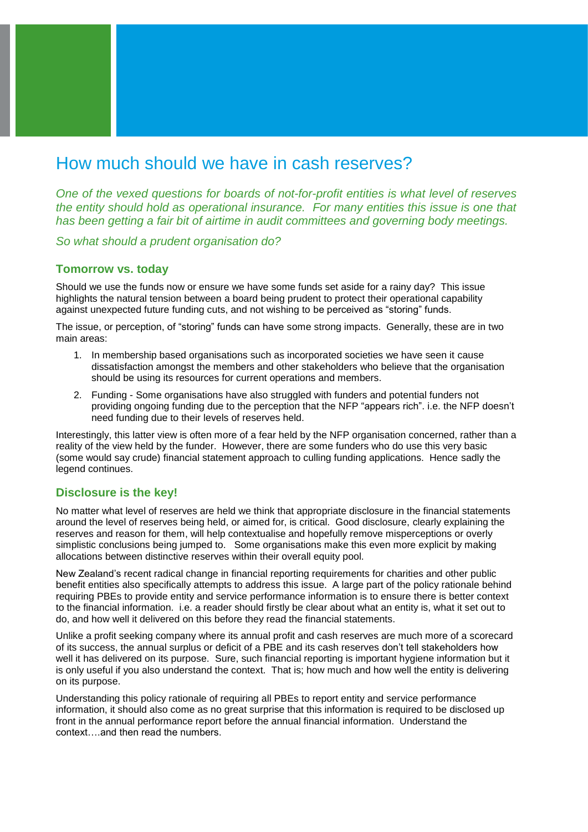# How much should we have in cash reserves?

*One of the vexed questions for boards of not-for-profit entities is what level of reserves the entity should hold as operational insurance. For many entities this issue is one that has been getting a fair bit of airtime in audit committees and governing body meetings.* 

*So what should a prudent organisation do?*

### **Tomorrow vs. today**

Should we use the funds now or ensure we have some funds set aside for a rainy day? This issue highlights the natural tension between a board being prudent to protect their operational capability against unexpected future funding cuts, and not wishing to be perceived as "storing" funds.

The issue, or perception, of "storing" funds can have some strong impacts. Generally, these are in two main areas:

- 1. In membership based organisations such as incorporated societies we have seen it cause dissatisfaction amongst the members and other stakeholders who believe that the organisation should be using its resources for current operations and members.
- 2. Funding Some organisations have also struggled with funders and potential funders not providing ongoing funding due to the perception that the NFP "appears rich". i.e. the NFP doesn't need funding due to their levels of reserves held.

Interestingly, this latter view is often more of a fear held by the NFP organisation concerned, rather than a reality of the view held by the funder. However, there are some funders who do use this very basic (some would say crude) financial statement approach to culling funding applications. Hence sadly the legend continues.

## **Disclosure is the key!**

No matter what level of reserves are held we think that appropriate disclosure in the financial statements around the level of reserves being held, or aimed for, is critical. Good disclosure, clearly explaining the reserves and reason for them, will help contextualise and hopefully remove misperceptions or overly simplistic conclusions being jumped to. Some organisations make this even more explicit by making allocations between distinctive reserves within their overall equity pool.

New Zealand's recent radical change in financial reporting requirements for charities and other public benefit entities also specifically attempts to address this issue. A large part of the policy rationale behind requiring PBEs to provide entity and service performance information is to ensure there is better context to the financial information. i.e. a reader should firstly be clear about what an entity is, what it set out to do, and how well it delivered on this before they read the financial statements.

Unlike a profit seeking company where its annual profit and cash reserves are much more of a scorecard of its success, the annual surplus or deficit of a PBE and its cash reserves don't tell stakeholders how well it has delivered on its purpose. Sure, such financial reporting is important hygiene information but it is only useful if you also understand the context. That is; how much and how well the entity is delivering on its purpose.

Understanding this policy rationale of requiring all PBEs to report entity and service performance information, it should also come as no great surprise that this information is required to be disclosed up front in the annual performance report before the annual financial information. Understand the context….and then read the numbers.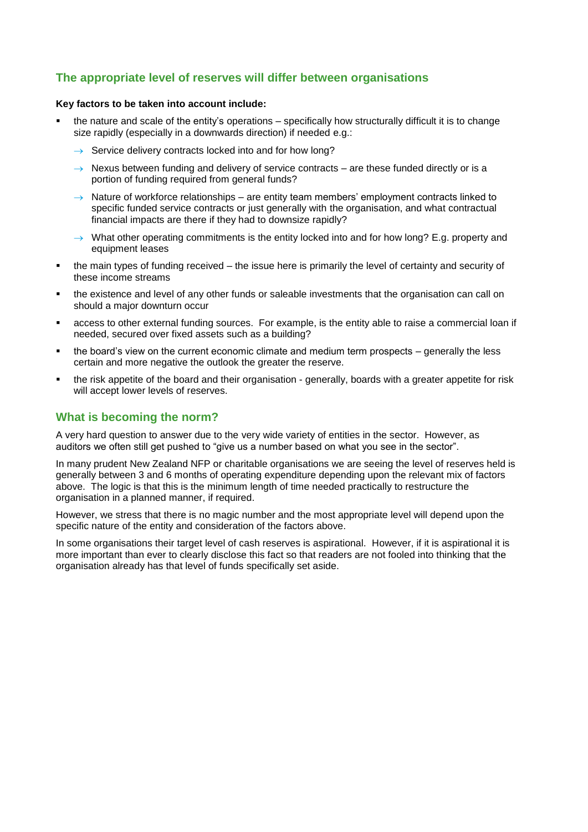# **The appropriate level of reserves will differ between organisations**

#### **Key factors to be taken into account include:**

- the nature and scale of the entity's operations specifically how structurally difficult it is to change size rapidly (especially in a downwards direction) if needed e.g.:
	- $\rightarrow$  Service delivery contracts locked into and for how long?
	- $\rightarrow$  Nexus between funding and delivery of service contracts are these funded directly or is a portion of funding required from general funds?
	- $\rightarrow$  Nature of workforce relationships are entity team members' employment contracts linked to specific funded service contracts or just generally with the organisation, and what contractual financial impacts are there if they had to downsize rapidly?
	- $\rightarrow$  What other operating commitments is the entity locked into and for how long? E.g. property and equipment leases
- the main types of funding received the issue here is primarily the level of certainty and security of these income streams
- the existence and level of any other funds or saleable investments that the organisation can call on should a major downturn occur
- access to other external funding sources. For example, is the entity able to raise a commercial loan if needed, secured over fixed assets such as a building?
- the board's view on the current economic climate and medium term prospects generally the less certain and more negative the outlook the greater the reserve.
- the risk appetite of the board and their organisation generally, boards with a greater appetite for risk will accept lower levels of reserves.

# **What is becoming the norm?**

A very hard question to answer due to the very wide variety of entities in the sector. However, as auditors we often still get pushed to "give us a number based on what you see in the sector".

In many prudent New Zealand NFP or charitable organisations we are seeing the level of reserves held is generally between 3 and 6 months of operating expenditure depending upon the relevant mix of factors above. The logic is that this is the minimum length of time needed practically to restructure the organisation in a planned manner, if required.

However, we stress that there is no magic number and the most appropriate level will depend upon the specific nature of the entity and consideration of the factors above.

In some organisations their target level of cash reserves is aspirational. However, if it is aspirational it is more important than ever to clearly disclose this fact so that readers are not fooled into thinking that the organisation already has that level of funds specifically set aside.